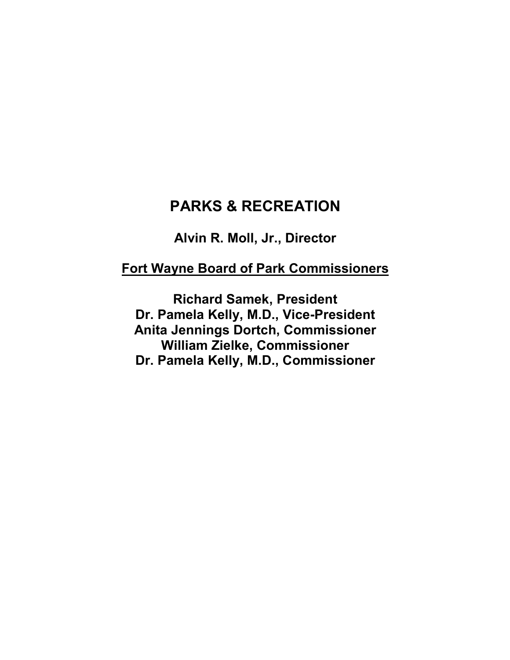## PARKS & RECREATION

Alvin R. Moll, Jr., Director

## Fort Wayne Board of Park Commissioners

Richard Samek, President Dr. Pamela Kelly, M.D., Vice-President Anita Jennings Dortch, Commissioner William Zielke, Commissioner Dr. Pamela Kelly, M.D., Commissioner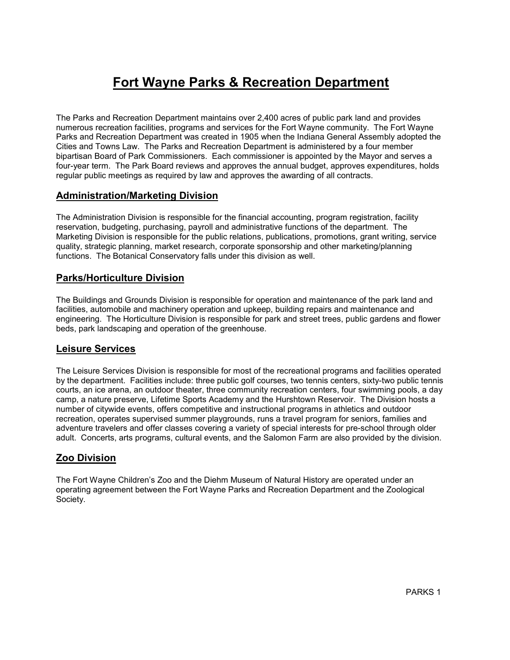# Fort Wayne Parks & Recreation Department

The Parks and Recreation Department maintains over 2,400 acres of public park land and provides numerous recreation facilities, programs and services for the Fort Wayne community. The Fort Wayne Parks and Recreation Department was created in 1905 when the Indiana General Assembly adopted the Cities and Towns Law. The Parks and Recreation Department is administered by a four member bipartisan Board of Park Commissioners. Each commissioner is appointed by the Mayor and serves a four-year term. The Park Board reviews and approves the annual budget, approves expenditures, holds regular public meetings as required by law and approves the awarding of all contracts.

#### Administration/Marketing Division

The Administration Division is responsible for the financial accounting, program registration, facility reservation, budgeting, purchasing, payroll and administrative functions of the department. The Marketing Division is responsible for the public relations, publications, promotions, grant writing, service quality, strategic planning, market research, corporate sponsorship and other marketing/planning functions. The Botanical Conservatory falls under this division as well.

### Parks/Horticulture Division

The Buildings and Grounds Division is responsible for operation and maintenance of the park land and facilities, automobile and machinery operation and upkeep, building repairs and maintenance and engineering. The Horticulture Division is responsible for park and street trees, public gardens and flower beds, park landscaping and operation of the greenhouse.

#### Leisure Services

The Leisure Services Division is responsible for most of the recreational programs and facilities operated by the department. Facilities include: three public golf courses, two tennis centers, sixty-two public tennis courts, an ice arena, an outdoor theater, three community recreation centers, four swimming pools, a day camp, a nature preserve, Lifetime Sports Academy and the Hurshtown Reservoir. The Division hosts a number of citywide events, offers competitive and instructional programs in athletics and outdoor recreation, operates supervised summer playgrounds, runs a travel program for seniors, families and adventure travelers and offer classes covering a variety of special interests for pre-school through older adult. Concerts, arts programs, cultural events, and the Salomon Farm are also provided by the division.

### Zoo Division

The Fort Wayne Children's Zoo and the Diehm Museum of Natural History are operated under an operating agreement between the Fort Wayne Parks and Recreation Department and the Zoological Society.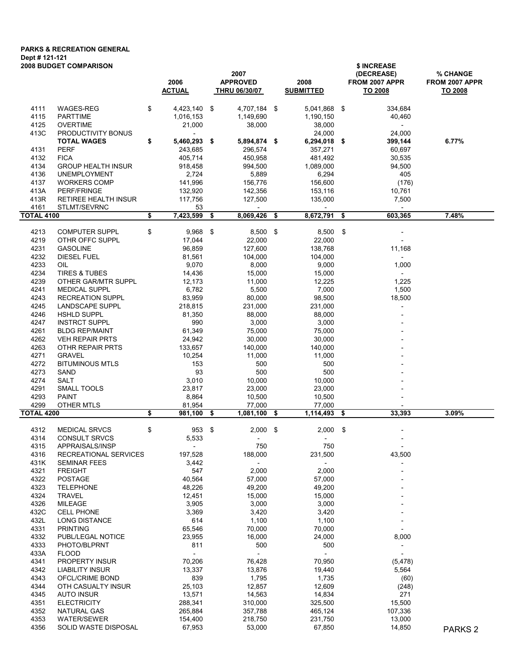## PARKS & RECREATION GENERAL Dept # 121-121

| <b>2008 BUDGET COMPARISON</b> |                                         | 2006<br><b>ACTUAL</b>              | 2007<br><b>APPROVED</b><br><b>THRU 06/30/07</b> | 2008<br><b>SUBMITTED</b> |      | \$ INCREASE<br>(DECREASE)<br>FROM 2007 APPR<br>TO 2008 | % CHANGE<br>FROM 2007 APPR<br><b>TO 2008</b> |
|-------------------------------|-----------------------------------------|------------------------------------|-------------------------------------------------|--------------------------|------|--------------------------------------------------------|----------------------------------------------|
|                               |                                         |                                    |                                                 |                          |      |                                                        |                                              |
| 4111                          | <b>WAGES-REG</b>                        | \$<br>4,423,140 \$                 | 4,707,184 \$                                    | 5.041.868 \$             |      | 334,684                                                |                                              |
| 4115                          | <b>PARTTIME</b>                         | 1,016,153                          | 1,149,690                                       | 1,190,150                |      | 40,460                                                 |                                              |
| 4125<br>413C                  | <b>OVERTIME</b><br>PRODUCTIVITY BONUS   | 21,000<br>$\overline{\phantom{a}}$ | 38,000                                          | 38,000<br>24,000         |      | $\overline{\phantom{a}}$<br>24,000                     |                                              |
|                               | <b>TOTAL WAGES</b>                      | \$<br>5,460,293                    | \$<br>5,894,874 \$                              | 6,294,018 \$             |      | 399,144                                                | 6.77%                                        |
| 4131                          | <b>PERF</b>                             | 243,685                            | 296,574                                         | 357,271                  |      | 60,697                                                 |                                              |
| 4132                          | <b>FICA</b>                             | 405,714                            | 450,958                                         | 481,492                  |      | 30,535                                                 |                                              |
| 4134                          | <b>GROUP HEALTH INSUR</b>               | 918,458                            | 994,500                                         | 1,089,000                |      | 94,500                                                 |                                              |
| 4136                          | <b>UNEMPLOYMENT</b>                     | 2,724                              | 5,889                                           | 6,294                    |      | 405                                                    |                                              |
| 4137                          | <b>WORKERS COMP</b>                     | 141,996                            | 156,776                                         | 156,600                  |      | (176)                                                  |                                              |
| 413A                          | PERF/FRINGE                             | 132,920                            | 142,356                                         | 153,116                  |      | 10,761                                                 |                                              |
| 413R                          | RETIREE HEALTH INSUR                    | 117,756                            | 127,500                                         | 135,000                  |      | 7,500                                                  |                                              |
| 4161<br><b>TOTAL 4100</b>     | STLMT/SEVRNC                            | \$<br>53<br>7,423,599              | \$<br>8,069,426                                 | \$<br>8,672,791          | -\$  | 603,365                                                | 7.48%                                        |
|                               |                                         |                                    |                                                 |                          |      |                                                        |                                              |
| 4213                          | <b>COMPUTER SUPPL</b>                   | \$<br>$9,968$ \$                   | 8,500 \$                                        | 8,500                    | \$   |                                                        |                                              |
| 4219                          | OTHR OFFC SUPPL                         | 17,044                             | 22,000                                          | 22,000                   |      |                                                        |                                              |
| 4231                          | <b>GASOLINE</b>                         | 96,859                             | 127,600                                         | 138,768                  |      | 11,168                                                 |                                              |
| 4232                          | <b>DIESEL FUEL</b>                      | 81,561                             | 104,000                                         | 104,000                  |      | $\overline{\phantom{a}}$                               |                                              |
| 4233<br>4234                  | OIL<br><b>TIRES &amp; TUBES</b>         | 9,070<br>14,436                    | 8,000<br>15,000                                 | 9,000<br>15,000          |      | 1,000<br>$\overline{\phantom{a}}$                      |                                              |
| 4239                          | OTHER GAR/MTR SUPPL                     | 12,173                             | 11,000                                          | 12,225                   |      | 1,225                                                  |                                              |
| 4241                          | <b>MEDICAL SUPPL</b>                    | 6,782                              | 5,500                                           | 7,000                    |      | 1,500                                                  |                                              |
| 4243                          | <b>RECREATION SUPPL</b>                 | 83,959                             | 80,000                                          | 98,500                   |      | 18,500                                                 |                                              |
| 4245                          | <b>LANDSCAPE SUPPL</b>                  | 218,815                            | 231,000                                         | 231,000                  |      |                                                        |                                              |
| 4246                          | <b>HSHLD SUPPL</b>                      | 81,350                             | 88,000                                          | 88,000                   |      |                                                        |                                              |
| 4247                          | <b>INSTRCT SUPPL</b>                    | 990                                | 3,000                                           | 3,000                    |      |                                                        |                                              |
| 4261                          | <b>BLDG REP/MAINT</b>                   | 61,349                             | 75,000                                          | 75,000                   |      |                                                        |                                              |
| 4262                          | <b>VEH REPAIR PRTS</b>                  | 24,942                             | 30,000                                          | 30,000                   |      |                                                        |                                              |
| 4263                          | OTHR REPAIR PRTS                        | 133,657                            | 140,000                                         | 140,000                  |      |                                                        |                                              |
| 4271<br>4272                  | <b>GRAVEL</b><br><b>BITUMINOUS MTLS</b> | 10,254<br>153                      | 11,000<br>500                                   | 11,000<br>500            |      |                                                        |                                              |
| 4273                          | SAND                                    | 93                                 | 500                                             | 500                      |      |                                                        |                                              |
| 4274                          | <b>SALT</b>                             | 3,010                              | 10,000                                          | 10,000                   |      |                                                        |                                              |
| 4291                          | SMALL TOOLS                             | 23,817                             | 23,000                                          | 23,000                   |      |                                                        |                                              |
| 4293                          | <b>PAINT</b>                            | 8,864                              | 10,500                                          | 10,500                   |      |                                                        |                                              |
| 4299                          | OTHER MTLS                              | 81,954                             | 77,000                                          | 77,000                   |      |                                                        |                                              |
| <b>TOTAL 4200</b>             |                                         | \$<br>981,100                      | \$<br>1,081,100                                 | \$<br>1,114,493          | - \$ | 33,393                                                 | 3.09%                                        |
| 4312                          | <b>MEDICAL SRVCS</b>                    | \$<br>953 \$                       | $2,000$ \$                                      | $2,000$ \$               |      |                                                        |                                              |
| 4314                          | CONSULT SRVCS                           | 5,533                              |                                                 |                          |      |                                                        |                                              |
| 4315                          | APPRAISALS/INSP                         |                                    | 750                                             | 750                      |      | $\overline{\phantom{a}}$                               |                                              |
| 4316                          | RECREATIONAL SERVICES                   | 197,528                            | 188,000                                         | 231,500                  |      | 43,500                                                 |                                              |
| 431K<br>4321                  | <b>SEMINAR FEES</b><br><b>FREIGHT</b>   | 3,442<br>547                       | $\overline{\phantom{a}}$<br>2,000               | 2,000                    |      |                                                        |                                              |
| 4322                          | <b>POSTAGE</b>                          | 40,564                             | 57,000                                          | 57,000                   |      |                                                        |                                              |
| 4323                          | <b>TELEPHONE</b>                        | 48,226                             | 49,200                                          | 49,200                   |      |                                                        |                                              |
| 4324                          | <b>TRAVEL</b>                           | 12,451                             | 15,000                                          | 15,000                   |      |                                                        |                                              |
| 4326                          | <b>MILEAGE</b>                          | 3,905                              | 3,000                                           | 3,000                    |      |                                                        |                                              |
| 432C                          | <b>CELL PHONE</b>                       | 3,369                              | 3,420                                           | 3,420                    |      |                                                        |                                              |
| 432L                          | LONG DISTANCE                           | 614                                | 1,100                                           | 1,100                    |      |                                                        |                                              |
| 4331                          | <b>PRINTING</b>                         | 65,546                             | 70,000                                          | 70,000                   |      |                                                        |                                              |
| 4332                          | PUBL/LEGAL NOTICE                       | 23,955                             | 16,000                                          | 24,000                   |      | 8,000                                                  |                                              |
| 4333                          | PHOTO/BLPRNT                            | 811                                | 500                                             | 500                      |      |                                                        |                                              |
| 433A<br>4341                  | <b>FLOOD</b><br>PROPERTY INSUR          | $\blacksquare$<br>70,206           | $\overline{\phantom{a}}$<br>76,428              | 70,950                   |      |                                                        |                                              |
| 4342                          | LIABILITY INSUR                         | 13,337                             | 13,876                                          | 19,440                   |      | (5, 478)<br>5,564                                      |                                              |
| 4343                          | OFCL/CRIME BOND                         | 839                                | 1,795                                           | 1,735                    |      | (60)                                                   |                                              |
| 4344                          | OTH CASUALTY INSUR                      | 25,103                             | 12,857                                          | 12,609                   |      | (248)                                                  |                                              |
| 4345                          | AUTO INSUR                              | 13,571                             | 14,563                                          | 14,834                   |      | 271                                                    |                                              |
| 4351                          | <b>ELECTRICITY</b>                      | 288,341                            | 310,000                                         | 325,500                  |      | 15,500                                                 |                                              |
| 4352                          | NATURAL GAS                             | 265,884                            | 357,788                                         | 465,124                  |      | 107,336                                                |                                              |
| 4353                          | WATER/SEWER                             | 154,400                            | 218,750                                         | 231,750                  |      | 13,000                                                 |                                              |
| 4356                          | SOLID WASTE DISPOSAL                    | 67,953                             | 53,000                                          | 67,850                   |      | 14,850                                                 | PARKS <sub>2</sub>                           |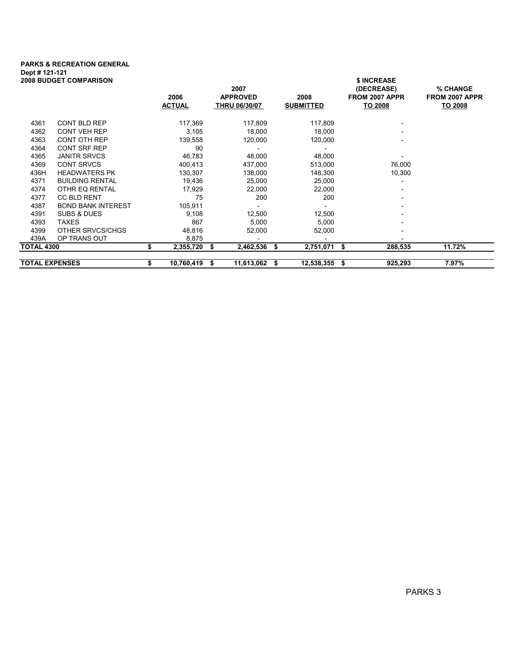## PARKS & RECREATION GENERAL Dept # 121-121

| <b>2008 BUDGET COMPARISON</b> |                           |   |                       |    | 2007                                    |    |                          |   | \$ INCREASE<br>(DECREASE) | % CHANGE                  |
|-------------------------------|---------------------------|---|-----------------------|----|-----------------------------------------|----|--------------------------|---|---------------------------|---------------------------|
|                               |                           |   | 2006<br><b>ACTUAL</b> |    | <b>APPROVED</b><br><b>THRU 06/30/07</b> |    | 2008<br><b>SUBMITTED</b> |   | FROM 2007 APPR<br>TO 2008 | FROM 2007 APPR<br>TO 2008 |
|                               |                           |   |                       |    |                                         |    |                          |   |                           |                           |
| 4361                          | <b>CONT BLD REP</b>       |   | 117,369               |    | 117,809                                 |    | 117,809                  |   |                           |                           |
| 4362                          | <b>CONT VEH REP</b>       |   | 3,105                 |    | 18,000                                  |    | 18,000                   |   |                           |                           |
| 4363                          | <b>CONT OTH REP</b>       |   | 139,558               |    | 120,000                                 |    | 120,000                  |   |                           |                           |
| 4364                          | <b>CONT SRF REP</b>       |   | 90                    |    |                                         |    |                          |   |                           |                           |
| 4365                          | <b>JANITR SRVCS</b>       |   | 46,783                |    | 48,000                                  |    | 48,000                   |   |                           |                           |
| 4369                          | <b>CONT SRVCS</b>         |   | 400,413               |    | 437,000                                 |    | 513,000                  |   | 76,000                    |                           |
| 436H                          | <b>HEADWATERS PK</b>      |   | 130,307               |    | 138,000                                 |    | 148,300                  |   | 10,300                    |                           |
| 4371                          | <b>BUILDING RENTAL</b>    |   | 19,436                |    | 25,000                                  |    | 25,000                   |   |                           |                           |
| 4374                          | OTHR EQ RENTAL            |   | 17,929                |    | 22,000                                  |    | 22,000                   |   |                           |                           |
| 4377                          | CC BLD RENT               |   | 75                    |    | 200                                     |    | 200                      |   |                           |                           |
| 4387                          | <b>BOND BANK INTEREST</b> |   | 105,911               |    |                                         |    |                          |   |                           |                           |
| 4391                          | SUBS & DUES               |   | 9,108                 |    | 12,500                                  |    | 12,500                   |   |                           |                           |
| 4393                          | <b>TAXES</b>              |   | 867                   |    | 5,000                                   |    | 5,000                    |   |                           |                           |
| 4399                          | OTHER SRVCS/CHGS          |   | 48,816                |    | 52,000                                  |    | 52,000                   |   |                           |                           |
| 439A                          | OP TRANS OUT              |   | 8,875                 |    |                                         |    |                          |   |                           |                           |
|                               | <b>TOTAL 4300</b>         |   | 2,355,720             | \$ | 2,462,536                               | \$ | 2,751,071 \$             |   | 288,535                   | 11.72%                    |
| <b>TOTAL EXPENSES</b>         |                           | S | 10,760,419            | S  | 11,613,062                              | 5  | 12,538,355               | S | 925,293                   | 7.97%                     |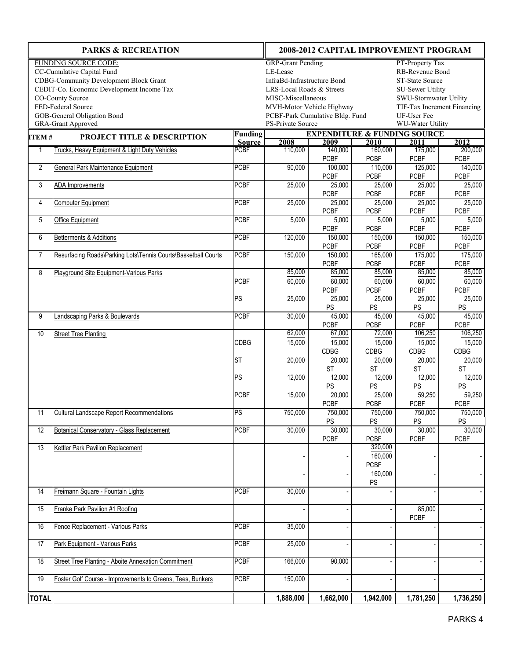|                | <b>PARKS &amp; RECREATION</b>                                  | 2008-2012 CAPITAL IMPROVEMENT PROGRAM          |                                                          |                        |                        |                                         |                        |  |  |  |  |  |  |
|----------------|----------------------------------------------------------------|------------------------------------------------|----------------------------------------------------------|------------------------|------------------------|-----------------------------------------|------------------------|--|--|--|--|--|--|
|                | <b>FUNDING SOURCE CODE:</b>                                    |                                                | <b>GRP-Grant Pending</b>                                 |                        |                        | PT-Property Tax                         |                        |  |  |  |  |  |  |
|                | CC-Cumulative Capital Fund                                     | RB-Revenue Bond<br>LE-Lease                    |                                                          |                        |                        |                                         |                        |  |  |  |  |  |  |
|                | <b>CDBG-Community Development Block Grant</b>                  | InfraBd-Infrastructure Bond<br>ST-State Source |                                                          |                        |                        |                                         |                        |  |  |  |  |  |  |
|                | CEDIT-Co. Economic Development Income Tax                      | LRS-Local Roads & Streets<br>SU-Sewer Utility  |                                                          |                        |                        |                                         |                        |  |  |  |  |  |  |
|                | CO-County Source                                               |                                                | SWU-Stormwater Utility<br>MISC-Miscellaneous             |                        |                        |                                         |                        |  |  |  |  |  |  |
|                | FED-Federal Source                                             |                                                | MVH-Motor Vehicle Highway<br>TIF-Tax Increment Financing |                        |                        |                                         |                        |  |  |  |  |  |  |
|                | GOB-General Obligation Bond                                    |                                                | PCBF-Park Cumulative Bldg. Fund<br>UF-User Fee           |                        |                        |                                         |                        |  |  |  |  |  |  |
|                | <b>GRA-Grant Approved</b>                                      |                                                | PS-Private Source<br>WU-Water Utility                    |                        |                        |                                         |                        |  |  |  |  |  |  |
| ITEM#          | <b>PROJECT TITLE &amp; DESCRIPTION</b>                         | <b>Funding</b>                                 |                                                          |                        |                        | <b>EXPENDITURE &amp; FUNDING SOURCE</b> |                        |  |  |  |  |  |  |
|                |                                                                | <b>Source</b>                                  | 2008                                                     | 2009                   | 2010                   | 2011                                    | 2012                   |  |  |  |  |  |  |
| $\overline{1}$ | Trucks, Heavy Equipment & Light Duty Vehicles                  | <b>PCBF</b>                                    | 110,000                                                  | 140,000                | 160,000                | 175,000                                 | 200,000                |  |  |  |  |  |  |
|                |                                                                |                                                |                                                          | <b>PCBF</b>            | <b>PCBF</b>            | <b>PCBF</b>                             | PCBF                   |  |  |  |  |  |  |
| 2              | General Park Maintenance Equipment                             | <b>PCBF</b>                                    | 90,000                                                   | 100,000                | 110,000                | 125,000                                 | 140,000                |  |  |  |  |  |  |
|                |                                                                |                                                |                                                          | <b>PCBF</b>            | <b>PCBF</b>            | <b>PCBF</b>                             | <b>PCBF</b>            |  |  |  |  |  |  |
| 3              | <b>ADA Improvements</b>                                        | <b>PCBF</b>                                    | 25,000                                                   | 25,000                 | 25,000                 | 25,000                                  | 25,000                 |  |  |  |  |  |  |
|                |                                                                |                                                |                                                          | <b>PCBF</b>            | <b>PCBF</b>            | <b>PCBF</b>                             | <b>PCBF</b>            |  |  |  |  |  |  |
| 4              | Computer Equipment                                             | <b>PCBF</b>                                    | 25,000                                                   | 25,000                 | 25,000                 | 25,000                                  | 25,000                 |  |  |  |  |  |  |
|                |                                                                |                                                |                                                          | <b>PCBF</b>            | <b>PCBF</b>            | <b>PCBF</b>                             | <b>PCBF</b>            |  |  |  |  |  |  |
| 5              | Office Equipment                                               | <b>PCBF</b>                                    | 5,000                                                    | 5,000                  | 5,000                  | 5,000                                   | 5,000                  |  |  |  |  |  |  |
|                |                                                                |                                                |                                                          | <b>PCBF</b>            | <b>PCBF</b>            | <b>PCBF</b>                             | <b>PCBF</b>            |  |  |  |  |  |  |
| 6              | Betterments & Additions                                        | <b>PCBF</b>                                    | 120,000                                                  | 150,000<br><b>PCBF</b> | 150,000<br><b>PCBF</b> | 150,000<br><b>PCBF</b>                  | 150,000<br><b>PCBF</b> |  |  |  |  |  |  |
|                |                                                                |                                                |                                                          |                        |                        |                                         |                        |  |  |  |  |  |  |
| $\overline{7}$ | Resurfacing Roads\Parking Lots\Tennis Courts\Basketball Courts | <b>PCBF</b>                                    | 150,000                                                  | 150,000                | 165,000                | 175,000                                 | 175,000                |  |  |  |  |  |  |
|                |                                                                |                                                |                                                          | <b>PCBF</b>            | <b>PCBF</b>            | <b>PCBF</b>                             | <b>PCBF</b>            |  |  |  |  |  |  |
| 8              | Playground Site Equipment-Various Parks                        |                                                | 85,000                                                   | 85,000                 | 85,000                 | 85,000                                  | 85,000                 |  |  |  |  |  |  |
|                |                                                                | <b>PCBF</b>                                    | 60,000                                                   | 60,000                 | 60,000                 | 60,000                                  | 60,000                 |  |  |  |  |  |  |
|                |                                                                |                                                |                                                          | <b>PCBF</b>            | <b>PCBF</b>            | <b>PCBF</b>                             | <b>PCBF</b>            |  |  |  |  |  |  |
|                |                                                                | PS                                             | 25,000                                                   | 25,000                 | 25,000                 | 25,000                                  | 25,000                 |  |  |  |  |  |  |
|                |                                                                |                                                |                                                          | PS                     | PS                     | PS                                      | PS                     |  |  |  |  |  |  |
| 9              | andscaping Parks & Boulevards                                  | <b>PCBF</b>                                    | 30,000                                                   | 45,000                 | 45,000                 | 45,000                                  | 45,000                 |  |  |  |  |  |  |
| 10             | <b>Street Tree Planting</b>                                    |                                                | 62,000                                                   | <b>PCBF</b><br>67,000  | <b>PCBF</b><br>72,000  | <b>PCBF</b><br>106,250                  | <b>PCBF</b><br>106,250 |  |  |  |  |  |  |
|                |                                                                | <b>CDBG</b>                                    | 15,000                                                   | 15,000                 | 15,000                 | 15,000                                  | 15,000                 |  |  |  |  |  |  |
|                |                                                                |                                                |                                                          | CDBG                   | CDBG                   | CDBG                                    | CDBG                   |  |  |  |  |  |  |
|                |                                                                | <b>ST</b>                                      | 20,000                                                   | 20,000                 | 20,000                 | 20,000                                  | 20,000                 |  |  |  |  |  |  |
|                |                                                                |                                                |                                                          | <b>ST</b>              | <b>ST</b>              | <b>ST</b>                               | <b>ST</b>              |  |  |  |  |  |  |
|                |                                                                | PS                                             | 12,000                                                   | 12,000                 | 12,000                 | 12,000                                  | 12,000                 |  |  |  |  |  |  |
|                |                                                                |                                                |                                                          | PS                     | PS                     | PS                                      | PS                     |  |  |  |  |  |  |
|                |                                                                | <b>PCBF</b>                                    | 15,000                                                   | 20,000                 | 25,000                 | 59,250                                  | 59,250                 |  |  |  |  |  |  |
|                |                                                                |                                                |                                                          | <b>PCBF</b>            | <b>PCBF</b>            | <b>PCBF</b>                             | <b>PCBF</b>            |  |  |  |  |  |  |
| 11             | <b>Cultural Landscape Report Recommendations</b>               | PS                                             | 750,000                                                  | 750,000                | 750,000                | 750,000                                 | 750,000                |  |  |  |  |  |  |
|                |                                                                |                                                |                                                          | PS                     | $\mathsf{PS}$          | $PS$                                    | PS                     |  |  |  |  |  |  |
| 12             | <b>Botanical Conservatory - Glass Replacement</b>              | <b>PCBF</b>                                    | 30,000                                                   | 30,000                 | 30,000                 | 30,000                                  | 30,000                 |  |  |  |  |  |  |
|                |                                                                |                                                |                                                          | PCBF                   | PCBF                   | PCBF                                    | <b>PCBF</b>            |  |  |  |  |  |  |
| 13             | Kettler Park Pavilion Replacement                              |                                                |                                                          |                        | 320,000                |                                         |                        |  |  |  |  |  |  |
|                |                                                                |                                                |                                                          |                        | 160,000                |                                         |                        |  |  |  |  |  |  |
|                |                                                                |                                                |                                                          |                        | <b>PCBF</b>            |                                         |                        |  |  |  |  |  |  |
|                |                                                                |                                                |                                                          |                        | 160,000                |                                         |                        |  |  |  |  |  |  |
|                |                                                                |                                                |                                                          |                        | PS                     |                                         |                        |  |  |  |  |  |  |
| 14             | Freimann Square - Fountain Lights                              | <b>PCBF</b>                                    | 30,000                                                   |                        |                        |                                         |                        |  |  |  |  |  |  |
|                |                                                                |                                                |                                                          |                        |                        |                                         |                        |  |  |  |  |  |  |
| 15             | Franke Park Pavilion #1 Roofing                                |                                                |                                                          |                        |                        | 85,000                                  |                        |  |  |  |  |  |  |
|                |                                                                |                                                |                                                          |                        |                        | <b>PCBF</b>                             |                        |  |  |  |  |  |  |
| 16             | Fence Replacement - Various Parks                              | <b>PCBF</b>                                    | 35,000                                                   |                        |                        |                                         |                        |  |  |  |  |  |  |
|                |                                                                |                                                |                                                          |                        |                        |                                         |                        |  |  |  |  |  |  |
| 17             | Park Equipment - Various Parks                                 | PCBF                                           | 25,000                                                   |                        |                        |                                         |                        |  |  |  |  |  |  |
|                |                                                                |                                                |                                                          |                        |                        |                                         |                        |  |  |  |  |  |  |
| 18             | <b>Street Tree Planting - Aboite Annexation Commitment</b>     | PCBF                                           | 166,000                                                  | 90,000                 |                        |                                         |                        |  |  |  |  |  |  |
|                |                                                                |                                                |                                                          |                        |                        |                                         |                        |  |  |  |  |  |  |
| 19             | Foster Golf Course - Improvements to Greens, Tees, Bunkers     | PCBF                                           | 150,000                                                  |                        |                        |                                         |                        |  |  |  |  |  |  |
|                |                                                                |                                                |                                                          |                        |                        |                                         |                        |  |  |  |  |  |  |
| <b>TOTAL</b>   |                                                                |                                                | 1,888,000                                                | 1,662,000              | 1,942,000              | 1,781,250                               | 1,736,250              |  |  |  |  |  |  |
|                |                                                                |                                                |                                                          |                        |                        |                                         |                        |  |  |  |  |  |  |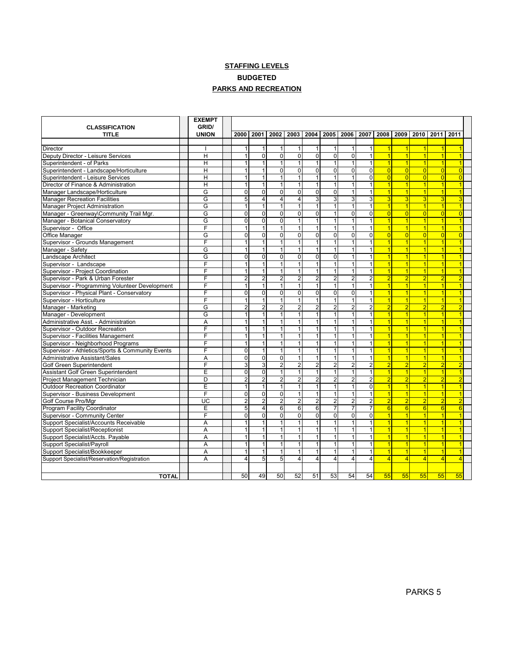#### **STAFFING LEVELS PARKS AND RECREATION** BUDGETED

| <b>CLASSIFICATION</b>                            | <b>EXEMPT</b><br>GRID/ |                |                |                |                  |                         |                |                         |                |                 |                 |                |                |                      |  |
|--------------------------------------------------|------------------------|----------------|----------------|----------------|------------------|-------------------------|----------------|-------------------------|----------------|-----------------|-----------------|----------------|----------------|----------------------|--|
| <b>TITLE</b>                                     | <b>UNION</b>           | 2000           | 2001           | 2002           |                  | 2003 2004               | 2005           | 2006 2007               |                | 2008            |                 |                | 2009 2010 2011 | 2011                 |  |
|                                                  |                        |                |                |                |                  |                         |                |                         |                |                 |                 |                |                |                      |  |
| Director                                         |                        |                |                |                |                  | 1                       | 1              | $\mathbf{1}$            | 1              | $\overline{1}$  | $\overline{1}$  | $\overline{1}$ | 1              |                      |  |
| Deputy Director - Leisure Services               | H                      |                | $\Omega$       | $\Omega$       | $\Omega$         | $\overline{0}$          | $\overline{0}$ | $\overline{0}$          | $\mathbf{1}$   | $\vert$ 1       | $\overline{1}$  | $\vert$        | $\overline{1}$ | $\overline{1}$       |  |
| Superintendent - of Parks                        | H                      |                | 1              | $\mathbf{1}$   | $\mathbf 1$      | $\mathbf{1}$            | 1              | $\mathbf{1}$            | $\mathbf{1}$   | 1               | $\vert$ 1       | $\vert$ 1      | $\overline{1}$ | $\overline{1}$       |  |
| Superintendent - Landscape/Horticulture          | H                      | 1              | $\mathbf{1}$   | $\Omega$       | $\Omega$         | 0                       | $\overline{0}$ | $\overline{0}$          | $\Omega$       | $\vert 0 \vert$ | $\vert 0 \vert$ | $\Omega$       | $\overline{0}$ | $\overline{0}$       |  |
| Superintendent - Leisure Services                | $\overline{H}$         | 1              | 1              | 1              |                  | $\mathbf{1}$            | $\mathbf{1}$   | $\overline{1}$          | $\overline{0}$ | $\overline{0}$  | $\overline{0}$  | $\Omega$       | $\overline{0}$ | $\overline{0}$       |  |
| Director of Finance & Administration             | H                      | 1              | 1              | 1              | 1                | $\mathbf{1}$            | 1              | 1                       | $\mathbf{1}$   | $\overline{1}$  | $\mathbf{1}$    | $\vert$        | $\overline{1}$ | $\overline{1}$       |  |
| Manager Landscape/Horticulture                   | G                      | $\mathbf{0}$   | $\Omega$       | $\overline{0}$ | $\overline{0}$   | $\overline{0}$          | $\overline{0}$ | $\overline{1}$          | $\mathbf{1}$   | $\vert$ 1       | $\overline{1}$  | $\vert$ 1      | $\overline{1}$ | $\overline{1}$       |  |
| <b>Manager Recreation Facilities</b>             | G                      | 5              | $\overline{4}$ | $\overline{4}$ | $\vert$          | 3                       | 3              | $\overline{\mathbf{3}}$ | 3              | 3               | 3               | 3              | 3              | 3                    |  |
| <b>Manager Project Administration</b>            | G                      | 1              | $\mathbf{1}$   | $\mathbf{1}$   | 1                | $\mathbf{1}$            | 1              | 1                       | $\mathbf{1}$   | 1               | $\overline{1}$  | $\vert$ 1      | $\overline{1}$ | $\overline{1}$       |  |
| Manager - Greenway\Community Trail Mgr.          | G                      | $\Omega$       | $\Omega$       | $\overline{0}$ | $\overline{0}$   | $\overline{0}$          | 1              | $\overline{0}$          | $\overline{0}$ | 0               | $\vert 0 \vert$ | $\overline{0}$ | $\overline{0}$ | $\overline{0}$       |  |
| Manager - Botanical Conservatory                 | G                      | $\mathbf 0$    | $\overline{0}$ | $\overline{0}$ | $\mathbf{1}$     | $\overline{1}$          | $\mathbf{1}$   | $\overline{1}$          | $\mathbf{1}$   | 1               | $\mathbf{1}$    | $\vert$ 1      | $\overline{1}$ | $\overline{1}$       |  |
| Supervisor - Office                              | F                      | 1              | $\overline{1}$ | 1              | 1                | $\mathbf{1}$            | 1              | $\mathbf{1}$            | $\mathbf{1}$   | $\vert$ 1       | $\overline{1}$  | $\vert$        | $\overline{1}$ | $\overline{1}$       |  |
| Office Manager                                   | G                      | $\Omega$       | $\mathbf{0}$   | $\overline{0}$ | $\overline{0}$   | $\overline{0}$          | 0              | $\overline{0}$          | 0              | 0               | 0               | $\overline{0}$ | $\overline{0}$ | $\overline{0}$       |  |
| Supervisor - Grounds Management                  | F                      |                |                | 1              |                  | 1                       | 1              | $\mathbf{1}$            |                | $\overline{1}$  |                 | $\overline{1}$ | $\overline{1}$ | $\overline{1}$       |  |
| Manager - Safety                                 | G                      |                | 1              | 1              |                  | $\mathbf{1}$            | 1              | $\overline{1}$          | $\mathbf{1}$   | $\vert$ 1       |                 | $\overline{1}$ | $\overline{1}$ | $\overline{1}$       |  |
| Landscape Architect                              | G                      | $\Omega$       | $\Omega$       | $\Omega$       | $\Omega$         | 0                       | 0              | $\mathbf{1}$            | $\mathbf{1}$   | $\overline{1}$  | $\overline{1}$  | $\vert$        | $\overline{1}$ | $\overline{1}$       |  |
| Supervisor - Landscape                           | F                      |                | 1              | $\mathbf{1}$   | $\mathbf{1}$     | $\mathbf{1}$            | 1              | 1                       | $\mathbf{1}$   | 1               | $\overline{1}$  | $\vert$        | $\overline{1}$ | 1                    |  |
| Supervisor - Project Coordination                | F                      | 1              | $\overline{1}$ | $\mathbf{1}$   | $\mathbf{1}$     | $\mathbf{1}$            | $\mathbf{1}$   | $\overline{1}$          | $\mathbf{1}$   | 1               | $\overline{1}$  | $\vert$        | $\overline{1}$ | $\overline{1}$       |  |
| Supervisor - Park & Urban Forester               | F                      | $\overline{2}$ | 2              | $\overline{2}$ | $\overline{2}$   | $\boldsymbol{2}$        | 2              | $\overline{2}$          | $\overline{2}$ | $\overline{2}$  | $\overline{2}$  | $\overline{2}$ | $\overline{2}$ | $\overline{2}$       |  |
| Supervisor - Programming Volunteer Development   | F                      |                | 1              | $\overline{1}$ | 1                | $\overline{1}$          | $\overline{1}$ | $\overline{1}$          | $\mathbf{1}$   | $\vert$ 1       | $\overline{1}$  | $\vert$        | $\overline{1}$ | $\overline{1}$       |  |
| Supervisor - Physical Plant - Conservatory       | F                      | $\Omega$       | $\mathbf{0}$   | $\overline{0}$ | $\Omega$         | $\overline{0}$          | $\overline{0}$ | $\overline{0}$          | $\mathbf{1}$   | $\vert$ 1       | $\mathbf{1}$    | $\vert$        | $\overline{1}$ | $\overline{1}$       |  |
| Supervisor - Horticulture                        | F                      | 1              | 1              | $\mathbf{1}$   |                  | $\mathbf{1}$            | 1              | $\overline{1}$          | $\mathbf{1}$   | $\vert$ 1       | $\vert$ 1       | $\vert$ 1      | $\overline{1}$ | $\blacktriangleleft$ |  |
| Manager - Marketing                              | G                      | $\overline{2}$ | $\overline{2}$ | 2              | 2                | $\overline{2}$          | 2              | 2                       | $\overline{2}$ | $\overline{2}$  | $\overline{2}$  | $\overline{2}$ | $\overline{2}$ | $\overline{2}$       |  |
| Manager - Development                            | G                      | 1              | 1              | 1              | 1                | $\mathbf{1}$            | 1              | 1                       | $\mathbf{1}$   | $\vert$ 1       | $\overline{1}$  | $\overline{1}$ | $\overline{1}$ | $\overline{1}$       |  |
| Administrative Asst. - Administration            | A                      | 1              | 1              | 1              |                  | $\mathbf{1}$            | 1              | 1                       | $\mathbf{1}$   | 1               | $\overline{1}$  | $\vert$        | $\overline{1}$ | $\overline{1}$       |  |
| Supervisor - Outdoor Recreation                  | F                      | 1              | $\overline{1}$ | $\mathbf{1}$   | $\mathbf{1}$     | $\mathbf{1}$            | 1              | 1                       | $\mathbf{1}$   | 1               | 1               | 1              | $\overline{1}$ | $\overline{1}$       |  |
| Supervisor - Facilities Management               | F                      | 1              | -1             | 1              |                  | $\mathbf{1}$            | 1              | $\mathbf{1}$            | 1              | $\vert$ 1       | $\mathbf{1}$    | $\vert$        | 1              | $\overline{1}$       |  |
| Supervisor - Neighborhood Programs               | F                      |                | 1              | 1              |                  | $\mathbf{1}$            | 1              | $\overline{1}$          | $\mathbf{1}$   | 1               | $\overline{1}$  | $\vert$        | $\overline{1}$ | $\overline{1}$       |  |
| Supervisor - Athletics/Sports & Community Events | F                      | 0              |                |                |                  | 1                       |                | $\mathbf{1}$            |                | $\overline{1}$  |                 | $\vert$        | 1              | 1                    |  |
| Administrative Assistant/Sales                   | A                      | $\Omega$       | $\Omega$       | $\overline{0}$ |                  | $\mathbf{1}$            | 1              | $\overline{1}$          | $\mathbf{1}$   | $\overline{1}$  | $\overline{1}$  | $\overline{1}$ | $\overline{1}$ | 7                    |  |
| Golf Green Superintendent                        | F                      | 3              | $\overline{3}$ | $\overline{2}$ | $\overline{2}$   | $\overline{2}$          | $\overline{c}$ | $\overline{2}$          | $\overline{2}$ | $\overline{2}$  | $\overline{2}$  | $\overline{2}$ | $\overline{2}$ | $\overline{2}$       |  |
| Assistant Golf Green Superintendent              | E                      | $\Omega$       | $\Omega$       | $\mathbf{1}$   | $\mathbf{1}$     | $\mathbf{1}$            | 1              | $\mathbf{1}$            | $\mathbf{1}$   | $\overline{1}$  | $\overline{1}$  | $\vert$        | $\overline{1}$ | 1                    |  |
| Project Management Technician                    | D                      | $\overline{2}$ | $\overline{2}$ | $\overline{2}$ | $\overline{2}$   | $\overline{2}$          | $\overline{2}$ | $\overline{2}$          | $\overline{2}$ | $\overline{2}$  | $\overline{2}$  | $\overline{2}$ | $\overline{2}$ | $\overline{2}$       |  |
| <b>Outdoor Recreation Coordinator</b>            | E                      | $\overline{1}$ | $\mathbf{1}$   | $\mathbf{1}$   | 1                | $\mathbf{1}$            | $\mathbf{1}$   | 1                       | 0              | 1               | 1               | 1              | $\overline{1}$ | $\overline{1}$       |  |
| Supervisor - Business Development                | F                      | $\Omega$       | $\Omega$       | $\overline{0}$ | $\vert$          | $\mathbf{1}$            | $\overline{1}$ | $\overline{1}$          | $\mathbf{1}$   | $\vert$ 1       | $\vert$         | $\vert$ 1      | $\overline{1}$ | $\overline{1}$       |  |
| Golf Course Pro/Mgr                              | $\overline{UC}$        | $\overline{2}$ | $\overline{2}$ | $\overline{2}$ | $\overline{2}$   | $\overline{2}$          | 2              | $\overline{2}$          | $\overline{2}$ | $\overline{2}$  | $\overline{2}$  | $\overline{2}$ | $\overline{2}$ | $\overline{2}$       |  |
| Program Facility Coordinator                     | E                      | 5              | $\overline{4}$ | 6              | $6 \overline{6}$ | $6\overline{6}$         | 7              | 7                       | $\overline{7}$ | 6               | 6               | $\overline{6}$ | 6              | $\overline{6}$       |  |
| Supervisor - Community Center                    | F                      | $\Omega$       | $\Omega$       | $\overline{0}$ | $\Omega$         | $\overline{0}$          | 0              | 0                       | o              | $\vert$ 1       | 1               | 1              | $\overline{1}$ | $\overline{1}$       |  |
| Support Specialist/Accounts Receivable           | Α                      | 1              | $\overline{1}$ | 1              | 1                | $\mathbf{1}$            | 1              | 1                       | $\mathbf{1}$   | $\vert$ 1       | $\overline{1}$  | $\vert$ 1      | $\overline{1}$ | $\overline{1}$       |  |
| Support Specialist/Receptionist                  | A                      | 1              | 1              | 1              |                  | $\mathbf{1}$            | 1              | $\mathbf{1}$            | $\mathbf{1}$   | $\vert$ 1       | $\overline{1}$  | $\vert$        | $\overline{1}$ | $\overline{1}$       |  |
| Support Specialist/Accts. Payable                | A                      | 1              | $\overline{1}$ | 1              | 1                | $\mathbf{1}$            | 1              | 1                       | $\mathbf{1}$   | 1               | $\overline{1}$  | $\vert$ 1      | $\overline{1}$ | $\overline{1}$       |  |
| Support Specialist/Payroll                       | A                      | 1              | -1             | 1              |                  | $\mathbf{1}$            | 1              | $\mathbf{1}$            | 1              | $\vert$ 1       | $\overline{1}$  | $\vert$        | 1              | $\overline{1}$       |  |
| Support Specialist/Bookkeeper                    | Α                      |                | 1              | 1              |                  | $\mathbf{1}$            | $\mathbf{1}$   | $\overline{1}$          | $\mathbf{1}$   | $\vert$ 1       |                 | $\vert$        | $\overline{1}$ | 1                    |  |
| Support Specialist/Reservation/Registration      | A                      | 4              | 5              | 5              | 4                | $\overline{\mathbf{4}}$ | 4              | 4                       | $\overline{4}$ | $\overline{4}$  | $\overline{4}$  | $\overline{4}$ | $\overline{4}$ | $\overline{4}$       |  |
|                                                  |                        |                |                |                |                  |                         |                |                         |                |                 |                 |                |                |                      |  |
| <b>TOTAL</b>                                     |                        | 50             | 49             | 50             | 52               | 51                      | 53             | 54                      | 54             | 55              | 55              | 55             | 55             | 55                   |  |